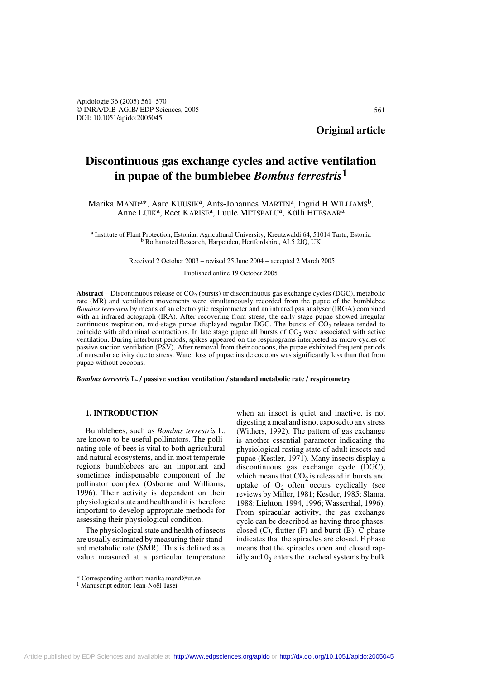561

# **Discontinuous gas exchange cycles and active ventilation in pupae of the bumblebee** *Bombus terrestris***<sup>1</sup>**

Marika MÄND<sup>a\*</sup>, Aare KUUSIK<sup>a</sup>, Ants-Johannes MARTIN<sup>a</sup>, Ingrid H WILLIAMS<sup>b</sup>, Anne LUIK<sup>a</sup>, Reet KARISE<sup>a</sup>, Luule METSPALU<sup>a</sup>, Külli HIIESAAR<sup>a</sup>

a Institute of Plant Protection, Estonian Agricultural University, Kreutzwaldi 64, 51014 Tartu, Estonia b Rothamsted Research, Harpenden, Hertfordshire, AL5 2JQ, UK

Received 2 October 2003 – revised 25 June 2004 – accepted 2 March 2005

Published online 19 October 2005

**Abstract** – Discontinuous release of  $CO<sub>2</sub>$  (bursts) or discontinuous gas exchange cycles (DGC), metabolic rate (MR) and ventilation movements were simultaneously recorded from the pupae of the bumblebee *Bombus terrestris* by means of an electrolytic respirometer and an infrared gas analyser (IRGA) combined with an infrared actograph (IRA). After recovering from stress, the early stage pupae showed irregular continuous respiration, mid-stage pupae displayed regular DGC. The bursts of  $CO<sub>2</sub>$  release tended to coincide with abdominal contractions. In late stage pupae all bursts of  $CO<sub>2</sub>$  were associated with active ventilation. During interburst periods, spikes appeared on the respirograms interpreted as micro-cycles of passive suction ventilation (PSV). After removal from their cocoons, the pupae exhibited frequent periods of muscular activity due to stress. Water loss of pupae inside cocoons was significantly less than that from pupae without cocoons.

*Bombus terrestris* **L. / passive suction ventilation / standard metabolic rate / respirometry**

# **1. INTRODUCTION**

Bumblebees, such as *Bombus terrestris* L. are known to be useful pollinators. The pollinating role of bees is vital to both agricultural and natural ecosystems, and in most temperate regions bumblebees are an important and sometimes indispensable component of the pollinator complex (Osborne and Williams, 1996). Their activity is dependent on their physiological state and health and it is therefore important to develop appropriate methods for assessing their physiological condition.

The physiological state and health of insects are usually estimated by measuring their standard metabolic rate (SMR). This is defined as a value measured at a particular temperature

when an insect is quiet and inactive, is not digesting a meal and is not exposed to any stress (Withers, 1992). The pattern of gas exchange is another essential parameter indicating the physiological resting state of adult insects and pupae (Kestler, 1971). Many insects display a discontinuous gas exchange cycle (DGC), which means that  $CO<sub>2</sub>$  is released in bursts and uptake of  $O_2$  often occurs cyclically (see reviews by Miller, 1981; Kestler, 1985; Slama, 1988; Lighton, 1994, 1996; Wasserthal, 1996). From spiracular activity, the gas exchange cycle can be described as having three phases: closed  $(C)$ , flutter  $(F)$  and burst  $(B)$ . C phase indicates that the spiracles are closed. F phase means that the spiracles open and closed rapidly and  $0<sub>2</sub>$  enters the tracheal systems by bulk

<sup>\*</sup> Corresponding author: marika.mand@ut.ee

<sup>&</sup>lt;sup>1</sup> Manuscript editor: Jean-Noël Tasei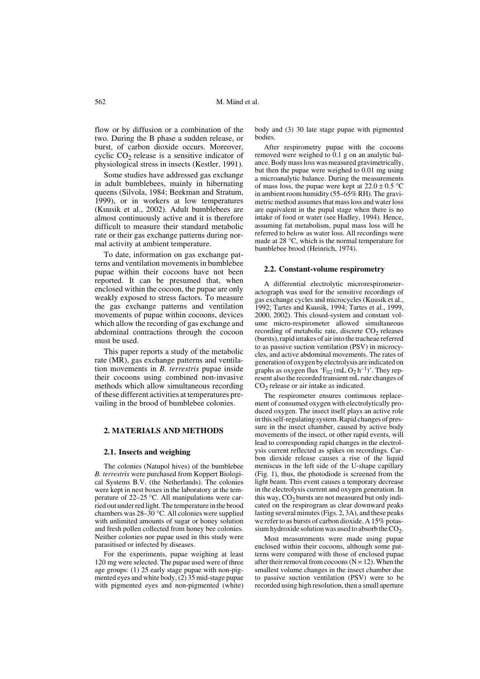flow or by diffusion or a combination of the two. During the B phase a sudden release, or burst, of carbon dioxide occurs. Moreover, cyclic  $CO<sub>2</sub>$  release is a sensitive indicator of physiological stress in insects (Kestler, 1991).

Some studies have addressed gas exchange in adult bumblebees, mainly in hibernating queens (Silvola, 1984; Beekman and Stratum, 1999), or in workers at low temperatures (Kuusik et al., 2002). Adult bumblebees are almost continuously active and it is therefore difficult to measure their standard metabolic rate or their gas exchange patterns during normal activity at ambient temperature.

To date, information on gas exchange patterns and ventilation movements in bumblebee pupae within their cocoons have not been reported. It can be presumed that, when enclosed within the cocoon, the pupae are only weakly exposed to stress factors. To measure the gas exchange patterns and ventilation movements of pupae within cocoons, devices which allow the recording of gas exchange and abdominal contractions through the cocoon must be used.

This paper reports a study of the metabolic rate (MR), gas exchange patterns and ventilation movements in *B. terrestris* pupae inside their cocoons using combined non-invasive methods which allow simultaneous recording of these different activities at temperatures prevailing in the brood of bumblebee colonies.

# **2. MATERIALS AND METHODS**

#### **2.1. Insects and weighing**

The colonies (Natupol hives) of the bumblebee *B. terrestris* were purchased from Koppert Biological Systems B.V. (the Netherlands). The colonies were kept in nest boxes in the laboratory at the temperature of 22–25 °C. All manipulations were carried out under red light. The temperature in the brood chambers was 28–30 °C. All colonies were supplied with unlimited amounts of sugar or honey solution and fresh pollen collected from honey bee colonies. Neither colonies nor pupae used in this study were parasitised or infected by diseases.

For the experiments, pupae weighing at least 120 mg were selected. The pupae used were of three age groups: (1) 25 early stage pupae with non-pigmented eyes and white body,  $(2)$  35 mid-stage pupae with pigmented eyes and non-pigmented (white)

body and (3) 30 late stage pupae with pigmented bodies.

After respirometry pupae with the cocoons removed were weighed to 0.1 g on an analytic balance. Body mass loss was measured gravimetrically, but then the pupae were weighed to 0.01 mg using a microanalytic balance. During the measurements of mass loss, the pupae were kept at  $22.0 \pm 0.5$  °C in ambient room humidity (55–65% RH). The gravimetric method assumes that mass loss and water loss are equivalent in the pupal stage when there is no intake of food or water (see Hadley, 1994). Hence, assuming fat metabolism, pupal mass loss will be referred to below as water loss. All recordings were made at 28 °C, which is the normal temperature for bumblebee brood (Heinrich, 1974).

## **2.2. Constant-volume respirometry**

A differential electrolytic microrespirometeractograph was used for the sensitive recordings of gas exchange cycles and microcycles (Kuusik et al., 1992; Tartes and Kuusik, 1994; Tartes et al., 1999, 2000, 2002). This closed-system and constant volume micro-respirometer allowed simultaneous recording of metabolic rate, discrete  $CO<sub>2</sub>$  releases (bursts), rapid intakes of air into the tracheae referred to as passive suction ventilation (PSV) in microcycles, and active abdominal movements. The rates of generation of oxygen by electrolysis are indicated on graphs as oxygen flux ' $F_{02}$  (mL O<sub>2</sub> h<sup>-1</sup>)'. They represent also the recorded transient mL rate changes of  $CO<sub>2</sub>$  release or air intake as indicated.

The respirometer ensures continuous replacement of consumed oxygen with electrolytically produced oxygen. The insect itself plays an active role in this self-regulating system. Rapid changes of pressure in the insect chamber, caused by active body movements of the insect, or other rapid events, will lead to corresponding rapid changes in the electrolysis current reflected as spikes on recordings. Carbon dioxide release causes a rise of the liquid meniscus in the left side of the U-shape capillary (Fig. 1), thus, the photodiode is screened from the light beam. This event causes a temporary decrease in the electrolysis current and oxygen generation. In this way,  $CO<sub>2</sub>$  bursts are not measured but only indicated on the respirogram as clear downward peaks lasting several minutes (Figs. 2, 3A), and these peaks we refer to as bursts of carbon dioxide. A 15% potassium hydroxide solution was used to absorb the  $CO<sub>2</sub>$ .

Most measurements were made using pupae enclosed within their cocoons, although some patterns were compared with those of enclosed pupae after their removal from cocoons  $(N = 12)$ . When the smallest volume changes in the insect chamber due to passive suction ventilation (PSV) were to be recorded using high resolution, then a small aperture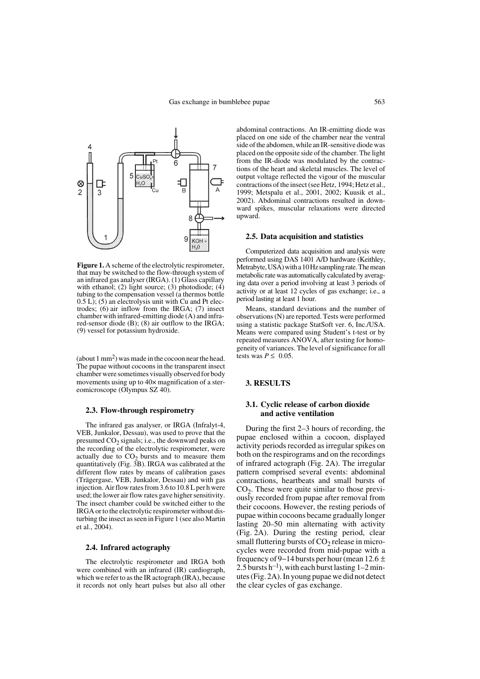

**Figure 1.** A scheme of the electrolytic respirometer, that may be switched to the flow-through system of an infrared gas analyser (IRGA). (1) Glass capillary with ethanol;  $(2)$  light source;  $(3)$  photodiode;  $(4)$ tubing to the compensation vessel (a thermos bottle 0.5 L); (5) an electrolysis unit with Cu and Pt electrodes; (6) air inflow from the IRGA; (7) insect chamber with infrared-emitting diode (A) and infrared-sensor diode (B); (8) air outflow to the IRGA; (9) vessel for potassium hydroxide.

(about  $1 \text{ mm}^2$ ) was made in the cocoon near the head. The pupae without cocoons in the transparent insect chamber were sometimes visually observed for body movements using up to 40× magnification of a stereomicroscope (Olympus SZ 40).

## **2.3. Flow-through respirometry**

The infrared gas analyser, or IRGA (Infralyt-4, VEB, Junkalor, Dessau), was used to prove that the presumed  $CO<sub>2</sub>$  signals; i.e., the downward peaks on the recording of the electrolytic respirometer, were actually due to  $CO<sub>2</sub>$  bursts and to measure them quantitatively (Fig. 3B). IRGA was calibrated at the different flow rates by means of calibration gases (Trägergase, VEB, Junkalor, Dessau) and with gas injection. Air flow rates from 3.6 to 10.8 L per h were used; the lower air flow rates gave higher sensitivity. The insect chamber could be switched either to the IRGA or to the electrolytic respirometer without disturbing the insect as seen in Figure 1 (see also Martin et al., 2004).

# **2.4. Infrared actography**

The electrolytic respirometer and IRGA both were combined with an infrared (IR) cardiograph, which we refer to as the IR actograph (IRA), because it records not only heart pulses but also all other

abdominal contractions. An IR-emitting diode was placed on one side of the chamber near the ventral side of the abdomen, while an IR-sensitive diode was placed on the opposite side of the chamber. The light from the IR-diode was modulated by the contractions of the heart and skeletal muscles. The level of output voltage reflected the vigour of the muscular contractions of the insect (see Hetz, 1994; Hetz et al., 1999; Metspalu et al., 2001, 2002; Kuusik et al., 2002). Abdominal contractions resulted in downward spikes, muscular relaxations were directed upward.

#### **2.5. Data acquisition and statistics**

Computerized data acquisition and analysis were performed using DAS 1401 A/D hardware (Keithley, Metrabyte, USA) with a 10 Hz sampling rate. The mean metabolic rate was automatically calculated by averaging data over a period involving at least 3 periods of activity or at least 12 cycles of gas exchange; i.e., a period lasting at least 1 hour.

Means, standard deviations and the number of observations (N) are reported. Tests were performed using a statistic package StatSoft ver. 6, Inc./USA. Means were compared using Student's t-test or by repeated measures ANOVA, after testing for homogeneity of variances. The level of significance for all tests was  $P \leq 0.05$ .

# **3. RESULTS**

# **3.1. Cyclic release of carbon dioxide and active ventilation**

During the first 2–3 hours of recording, the pupae enclosed within a cocoon, displayed activity periods recorded as irregular spikes on both on the respirograms and on the recordings of infrared actograph (Fig. 2A). The irregular pattern comprised several events: abdominal contractions, heartbeats and small bursts of  $CO<sub>2</sub>$ . These were quite similar to those previously recorded from pupae after removal from their cocoons. However, the resting periods of pupae within cocoons became gradually longer lasting 20–50 min alternating with activity (Fig. 2A). During the resting period, clear small fluttering bursts of  $CO<sub>2</sub>$  release in microcycles were recorded from mid-pupae with a frequency of 9−14 bursts per hour (mean 12.6 ± 2.5 bursts h<sup>-1</sup>), with each burst lasting  $1-2$  minutes (Fig. 2A). In young pupae we did not detect the clear cycles of gas exchange.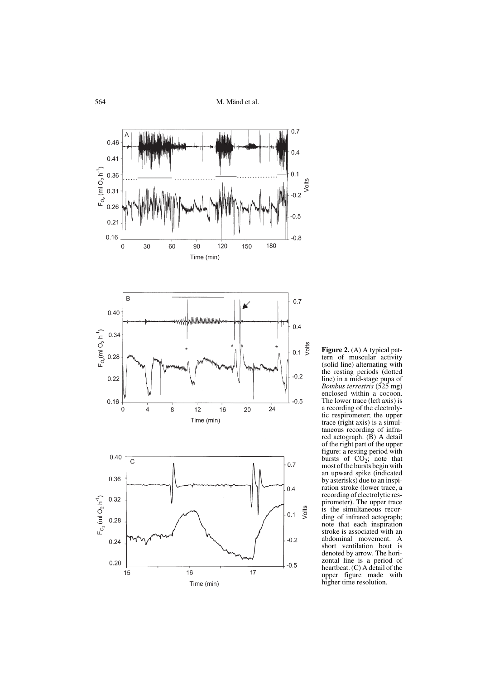

**Figure 2.** (A) A typical pattern of muscular activity (solid line) alternating with the resting periods (dotted line) in a mid-stage pupa of *Bombus terrestris* (525 mg) enclosed within a cocoon. The lower trace (left axis) is a recording of the electrolytic respirometer; the upper trace (right axis) is a simultaneous recording of infrared actograph. (B) A detail of the right part of the upper figure: a resting period with bursts of  $CO_2$ ; note that most of the bursts begin with an upward spike (indicated by asterisks) due to an inspiration stroke (lower trace, a recording of electrolytic respirometer). The upper trace is the simultaneous recording of infrared actograph; note that each inspiration stroke is associated with an abdominal movement. A short ventilation bout is denoted by arrow. The horizontal line is a period of heartbeat. (C) A detail of the upper figure made with higher time resolution.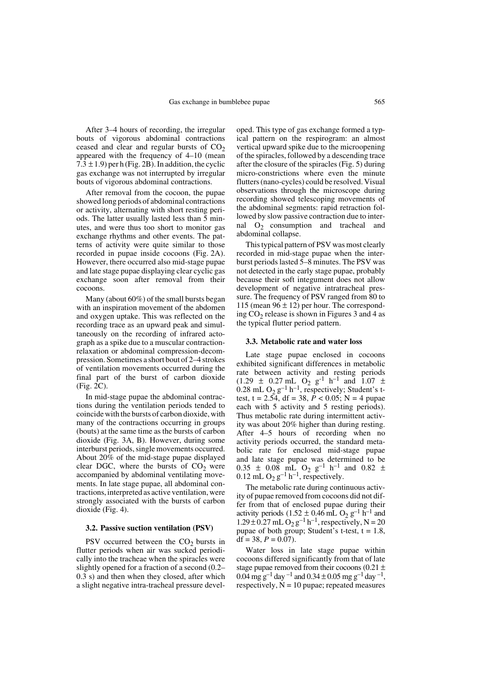After 3–4 hours of recording, the irregular bouts of vigorous abdominal contractions ceased and clear and regular bursts of  $CO<sub>2</sub>$ appeared with the frequency of 4–10 (mean  $7.3 \pm 1.9$ ) per h (Fig. 2B). In addition, the cyclic gas exchange was not interrupted by irregular bouts of vigorous abdominal contractions.

After removal from the cocoon, the pupae showed long periods of abdominal contractions or activity, alternating with short resting periods. The latter usually lasted less than 5 minutes, and were thus too short to monitor gas exchange rhythms and other events. The patterns of activity were quite similar to those recorded in pupae inside cocoons (Fig. 2A). However, there occurred also mid-stage pupae and late stage pupae displaying clear cyclic gas exchange soon after removal from their cocoons.

Many (about 60%) of the small bursts began with an inspiration movement of the abdomen and oxygen uptake. This was reflected on the recording trace as an upward peak and simultaneously on the recording of infrared actograph as a spike due to a muscular contractionrelaxation or abdominal compression-decompression. Sometimes a short bout of 2–4 strokes of ventilation movements occurred during the final part of the burst of carbon dioxide (Fig. 2C).

In mid-stage pupae the abdominal contractions during the ventilation periods tended to coincide with the bursts of carbon dioxide, with many of the contractions occurring in groups (bouts) at the same time as the bursts of carbon dioxide (Fig. 3A, B). However, during some interburst periods, single movements occurred. About 20% of the mid-stage pupae displayed clear DGC, where the bursts of  $CO<sub>2</sub>$  were accompanied by abdominal ventilating movements. In late stage pupae, all abdominal contractions, interpreted as active ventilation, were strongly associated with the bursts of carbon dioxide (Fig. 4).

#### **3.2. Passive suction ventilation (PSV)**

PSV occurred between the  $CO<sub>2</sub>$  bursts in flutter periods when air was sucked periodically into the tracheae when the spiracles were slightly opened for a fraction of a second (0.2– 0.3 s) and then when they closed, after which a slight negative intra-tracheal pressure devel-

oped. This type of gas exchange formed a typical pattern on the respirogram: an almost vertical upward spike due to the microopening of the spiracles, followed by a descending trace after the closure of the spiracles (Fig. 5) during micro-constrictions where even the minute flutters (nano-cycles) could be resolved. Visual observations through the microscope during recording showed telescoping movements of the abdominal segments: rapid retraction followed by slow passive contraction due to internal  $O_2$  consumption and tracheal and abdominal collapse.

This typical pattern of PSV was most clearly recorded in mid-stage pupae when the interburst periods lasted 5–8 minutes. The PSV was not detected in the early stage pupae, probably because their soft integument does not allow development of negative intratracheal pressure. The frequency of PSV ranged from 80 to 115 (mean  $96 \pm 12$ ) per hour. The corresponding  $CO<sub>2</sub>$  release is shown in Figures 3 and 4 as the typical flutter period pattern.

## **3.3. Metabolic rate and water loss**

Late stage pupae enclosed in cocoons exhibited significant differences in metabolic rate between activity and resting periods  $(1.29 \pm 0.27 \text{ mL} \cdot \text{O}_2 \text{ g}^{-1} \text{ h}^{-1} \text{ and } 1.07 \pm 1.07 \text{ m}^{-1} \text{ m}^{-1} \text{ m}^{-1} \text{ m}^{-1} \text{ m}^{-1} \text{ m}^{-1} \text{ m}^{-1} \text{ m}^{-1} \text{ m}^{-1} \text{ m}^{-1} \text{ m}^{-1} \text{ m}^{-1} \text{ m}^{-1} \text{ m}^{-1} \text{ m}^{-1} \text{ m}^{-1} \text{ m}^{-1} \text{ m}^{-1} \text{ m}^{-1} \text{ m}^{-1} \text$ 0.28 mL  $O_2$   $g^{-1}$  h<sup>-1</sup>, respectively; Student's ttest, t = 2.54, df = 38,  $\bar{P}$  < 0.05; N = 4 pupae each with 5 activity and 5 resting periods). Thus metabolic rate during intermittent activity was about 20% higher than during resting. After 4–5 hours of recording when no activity periods occurred, the standard metabolic rate for enclosed mid-stage pupae and late stage pupae was determined to be  $0.35 \pm 0.08$  mL O<sub>2</sub> g<sup>-1</sup> h<sup>-1</sup> and 0.82  $\pm$ 0.12 mL  $O_2$   $g^{-1}$  h<sup>-1</sup>, respectively.

The metabolic rate during continuous activity of pupae removed from cocoons did not differ from that of enclosed pupae during their activity periods (1.52  $\pm$  0.46 mL O<sub>2</sub> g<sup>-1</sup> h<sup>-1</sup> and  $1.29 \pm 0.27$  mL  $O_2$  g<sup>-1</sup> h<sup>-1</sup>, respectively, N = 20 pupae of both group; Student's t-test,  $t = 1.8$ , df =  $38, P = 0.07$ ).

Water loss in late stage pupae within cocoons differed significantly from that of late stage pupae removed from their cocoons (0.21  $\pm$ 0.04 mg g<sup>-1</sup> day <sup>-1</sup> and 0.34  $\pm$  0.05 mg g<sup>-1</sup> day <sup>-1</sup>, respectively,  $N = 10$  pupae; repeated measures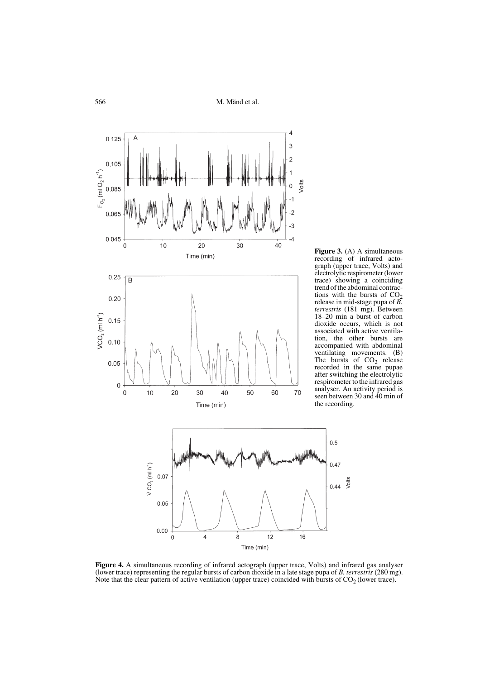

**Figure 3.** (A) A simultaneous recording of infrared actograph (upper trace, Volts) and electrolytic respirometer (lower trace) showing a coinciding trend of the abdominal contractions with the bursts of  $CO<sub>2</sub>$ release in mid-stage pupa of *B. terrestris* (181 mg). Between 18–20 min a burst of carbon dioxide occurs, which is not associated with active ventilation, the other bursts are accompanied with abdominal ventilating movements. (B) The bursts of  $CO<sub>2</sub>$  release recorded in the same pupae after switching the electrolytic respirometer to the infrared gas analyser. An activity period is seen between 30 and 40 min of the recording.

 $0.47$ 



Time (min)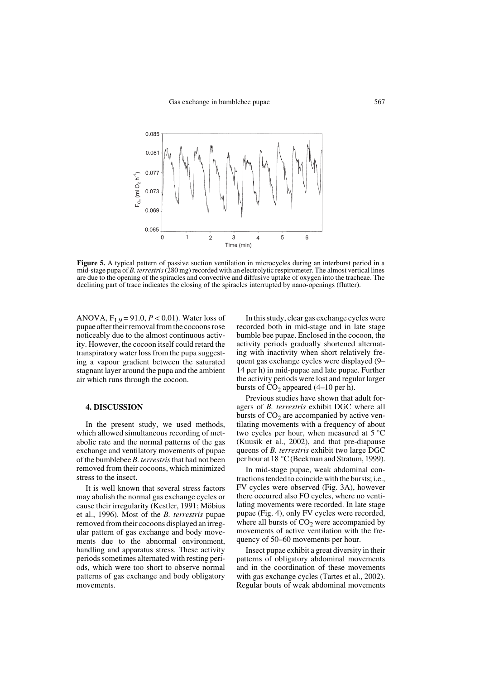

Figure 5. A typical pattern of passive suction ventilation in microcycles during an interburst period in a mid-stage pupa of *B. terrestris* (280 mg) recorded with an electrolytic respirometer. The almost vertical lines are due to the opening of the spiracles and convective and diffusive uptake of oxygen into the tracheae. The declining part of trace indicates the closing of the spiracles interrupted by nano-openings (flutter).

ANOVA,  $F_{1,9} = 91.0, P < 0.01$ ). Water loss of pupae after their removal from the cocoons rose noticeably due to the almost continuous activity. However, the cocoon itself could retard the transpiratory water loss from the pupa suggesting a vapour gradient between the saturated stagnant layer around the pupa and the ambient air which runs through the cocoon.

## **4. DISCUSSION**

In the present study, we used methods, which allowed simultaneous recording of metabolic rate and the normal patterns of the gas exchange and ventilatory movements of pupae of the bumblebee *B. terrestris* that had not been removed from their cocoons, which minimized stress to the insect.

It is well known that several stress factors may abolish the normal gas exchange cycles or cause their irregularity (Kestler, 1991; Möbius et al., 1996). Most of the *B. terrestris* pupae removed from their cocoons displayed an irregular pattern of gas exchange and body movements due to the abnormal environment, handling and apparatus stress. These activity periods sometimes alternated with resting periods, which were too short to observe normal patterns of gas exchange and body obligatory movements.

In this study, clear gas exchange cycles were recorded both in mid-stage and in late stage bumble bee pupae. Enclosed in the cocoon, the activity periods gradually shortened alternating with inactivity when short relatively frequent gas exchange cycles were displayed (9– 14 per h) in mid-pupae and late pupae. Further the activity periods were lost and regular larger bursts of  $CO<sub>2</sub>$  appeared (4–10 per h).

Previous studies have shown that adult foragers of *B. terrestris* exhibit DGC where all bursts of  $CO<sub>2</sub>$  are accompanied by active ventilating movements with a frequency of about two cycles per hour, when measured at  $5^{\circ}$ C (Kuusik et al., 2002), and that pre-diapause queens of *B. terrestris* exhibit two large DGC per hour at 18 °C (Beekman and Stratum, 1999).

In mid-stage pupae, weak abdominal contractions tended to coincide with the bursts; i.e., FV cycles were observed (Fig. 3A), however there occurred also FO cycles, where no ventilating movements were recorded. In late stage pupae (Fig. 4), only FV cycles were recorded, where all bursts of  $CO<sub>2</sub>$  were accompanied by movements of active ventilation with the frequency of 50–60 movements per hour.

Insect pupae exhibit a great diversity in their patterns of obligatory abdominal movements and in the coordination of these movements with gas exchange cycles (Tartes et al., 2002). Regular bouts of weak abdominal movements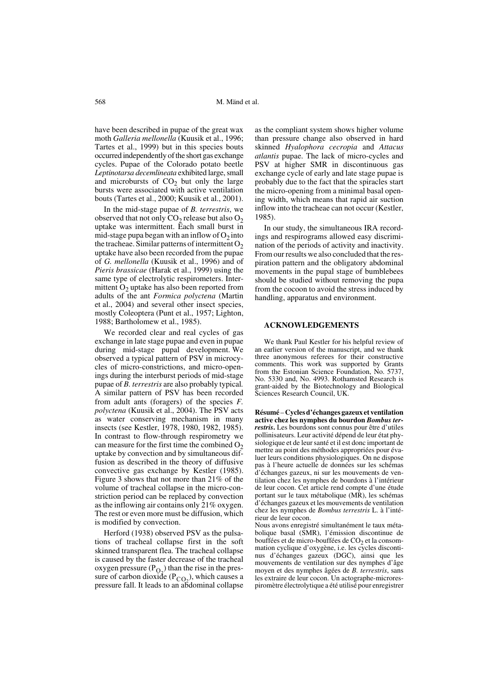have been described in pupae of the great wax moth *Galleria mellonella* (Kuusik et al., 1996; Tartes et al., 1999) but in this species bouts occurred independently of the short gas exchange cycles. Pupae of the Colorado potato beetle *Leptinotarsa decemlineata* exhibited large, small and microbursts of  $CO<sub>2</sub>$  but only the large bursts were associated with active ventilation bouts (Tartes et al., 2000; Kuusik et al., 2001).

In the mid-stage pupae of *B. terrestris*, we observed that not only  $CO<sub>2</sub>$  release but also  $O<sub>2</sub>$ uptake was intermittent. Each small burst in mid-stage pupa began with an inflow of  $O<sub>2</sub>$  into the tracheae. Similar patterns of intermittent  $O_2$ uptake have also been recorded from the pupae of *G. mellonella* (Kuusik et al., 1996) and of *Pieris brassicae* (Harak et al., 1999) using the same type of electrolytic respirometers. Intermittent  $O<sub>2</sub>$  uptake has also been reported from adults of the ant *Formica polyctena* (Martin et al., 2004) and several other insect species, mostly Coleoptera (Punt et al., 1957; Lighton, 1988; Bartholomew et al., 1985).

We recorded clear and real cycles of gas exchange in late stage pupae and even in pupae during mid-stage pupal development. We observed a typical pattern of PSV in microcycles of micro-constrictions, and micro-openings during the interburst periods of mid-stage pupae of *B. terrestris* are also probably typical*.* A similar pattern of PSV has been recorded from adult ants (foragers) of the species *F. polyctena* (Kuusik et al., 2004). The PSV acts as water conserving mechanism in many insects (see Kestler, 1978, 1980, 1982, 1985). In contrast to flow-through respirometry we can measure for the first time the combined  $O_2$ uptake by convection and by simultaneous diffusion as described in the theory of diffusive convective gas exchange by Kestler (1985). Figure 3 shows that not more than 21% of the volume of tracheal collapse in the micro-constriction period can be replaced by convection as the inflowing air contains only 21% oxygen. The rest or even more must be diffusion, which is modified by convection.

Herford (1938) observed PSV as the pulsations of tracheal collapse first in the soft skinned transparent flea. The tracheal collapse is caused by the faster decrease of the tracheal oxygen pressure  $(P<sub>O<sub>n</sub></sub>)$  than the rise in the presoxygen pressure  $(P_{Q_2})$  than the rise in the pressure of carbon dioxide  $(P_{CQ_2})$ , which causes a pressure fall. It leads to an abdominal collapse

as the compliant system shows higher volume than pressure change also observed in hard skinned *Hyalophora cecropia* and *Attacus atlantis* pupae. The lack of micro-cycles and PSV at higher SMR in discontinuous gas exchange cycle of early and late stage pupae is probably due to the fact that the spiracles start the micro-opening from a minimal basal opening width, which means that rapid air suction inflow into the tracheae can not occur (Kestler, 1985).

In our study, the simultaneous IRA recordings and respirograms allowed easy discrimination of the periods of activity and inactivity. From our results we also concluded that the respiration pattern and the obligatory abdominal movements in the pupal stage of bumblebees should be studied without removing the pupa from the cocoon to avoid the stress induced by handling, apparatus and environment.

## **ACKNOWLEDGEMENTS**

We thank Paul Kestler for his helpful review of an earlier version of the manuscript, and we thank three anonymous referees for their constructive comments. This work was supported by Grants from the Estonian Science Foundation, No. 5737, No. 5330 and, No. 4993. Rothamsted Research is grant-aided by the Biotechnology and Biological Sciences Research Council, UK.

**Résumé** – **Cycles d'échanges gazeux et ventilation active chez les nymphes du bourdon** *Bombus terrestris***.** Les bourdons sont connus pour être d'utiles pollinisateurs. Leur activité dépend de leur état physiologique et de leur santé et il est donc important de mettre au point des méthodes appropriées pour évaluer leurs conditions physiologiques. On ne dispose pas à l'heure actuelle de données sur les schémas d'échanges gazeux, ni sur les mouvements de ventilation chez les nymphes de bourdons à l'intérieur de leur cocon. Cet article rend compte d'une étude portant sur le taux métabolique (MR), les schémas d'échanges gazeux et les mouvements de ventilation chez les nymphes de *Bombus terrestris* L. à l'intérieur de leur cocon.

Nous avons enregistré simultanément le taux métabolique basal (SMR), l'émission discontinue de bouffées et de micro-bouffées de  $CO<sub>2</sub>$  et la consommation cyclique d'oxygène, i.e. les cycles discontinus d'échanges gazeux (DGC), ainsi que les mouvements de ventilation sur des nymphes d'âge moyen et des nymphes âgées de *B. terrestris*, sans les extraire de leur cocon. Un actographe-microrespiromètre électrolytique a été utilisé pour enregistrer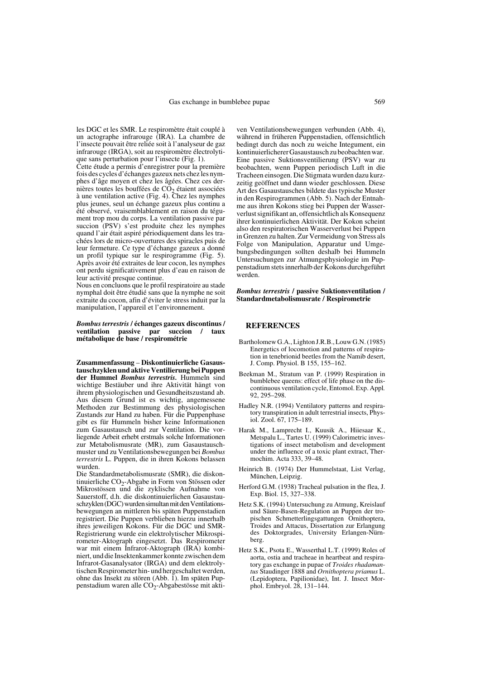les DGC et les SMR. Le respiromètre était couplé à un actographe infrarouge (IRA). La chambre de l'insecte pouvait être reliée soit à l'analyseur de gaz infrarouge (IRGA), soit au respiromètre électrolytique sans perturbation pour l'insecte (Fig. 1).

Cette étude a permis d'enregistrer pour la première fois des cycles d'échanges gazeux nets chez les nymphes d'âge moyen et chez les âgées. Chez ces dernières toutes les bouffées de  $\overline{CO}_2$  étaient associées à une ventilation active (Fig. 4). Chez les nymphes plus jeunes, seul un échange gazeux plus continu a été observé, vraisemblablement en raison du tégument trop mou du corps. La ventilation passive par succion (PSV) s'est produite chez les nymphes quand l'air était aspiré périodiquement dans les trachées lors de micro-ouvertures des spiracles puis de leur fermeture. Ce type d'échange gazeux a donné un profil typique sur le respirogramme (Fig. 5). Après avoir été extraites de leur cocon, les nymphes ont perdu significativement plus d'eau en raison de leur activité presque continue.

Nous en concluons que le profil respiratoire au stade nymphal doit être étudié sans que la nymphe ne soit extraite du cocon, afin d'éviter le stress induit par la manipulation, l'appareil et l'environnement.

#### *Bombus terrestris* **/ échanges gazeux discontinus / ventilation passive par succion / taux métabolique de base / respirométrie**

**Zusammenfassung** – **Diskontinuierliche Gasaustauschzyklen und aktive Ventilierung bei Puppen der Hummel** *Bombus terrestris.* Hummeln sind wichtige Bestäuber und ihre Aktivität hängt von ihrem physiologischen und Gesundheitszustand ab. Aus diesem Grund ist es wichtig, angemessene Methoden zur Bestimmung des physiologischen Zustands zur Hand zu haben. Für die Puppenphase gibt es für Hummeln bisher keine Informationen zum Gasaustausch und zur Ventilation. Die vorliegende Arbeit erhebt erstmals solche Informationen zur Metabolismusrate (MR), zum Gasaustauschmuster und zu Ventilationsbewegungen bei *Bombus terrestris* L. Puppen, die in ihren Kokons belassen wurden.

Die Standardmetabolismusrate (SMR), die diskontinuierliche  $CO<sub>2</sub>$ -Abgabe in Form von Stössen oder Mikrostössen und die zyklische Aufnahme von Sauerstoff, d.h. die diskontinuierlichen Gasaustauschzyklen (DGC) wurden simultan mit den Ventilationsbewegungen an mittleren bis späten Puppenstadien registriert. Die Puppen verblieben hierzu innerhalb ihres jeweiligen Kokons. Für die DGC und SMR-Registrierung wurde ein elektrolytischer Mikrospirometer-Aktograph eingesetzt. Das Respirometer war mit einem Infrarot-Aktograph (IRA) kombiniert, und die Insektenkammer konnte zwischen dem Infrarot-Gasanalysator (IRGA) und dem elektrolytischen Respirometer hin- und hergeschaltet werden, ohne das Insekt zu stören (Abb. 1). Im späten Puppenstadium waren alle CO<sub>2</sub>-Abgabestösse mit aktiven Ventilationsbewegungen verbunden (Abb. 4), während in früheren Puppenstadien, offensichtlich bedingt durch das noch zu weiche Integument, ein kontinuierlicherer Gasaustausch zu beobachten war. Eine passive Suktionsventilierung (PSV) war zu beobachten, wenn Puppen periodisch Luft in die Tracheen einsogen. Die Stigmata wurden dazu kurzzeitig geöffnet und dann wieder geschlossen. Diese Art des Gasaustausches bildete das typische Muster in den Respirogrammen (Abb. 5). Nach der Entnahme aus ihren Kokons stieg bei Puppen der Wasserverlust signifikant an, offensichtlich als Konsequenz ihrer kontinuierlichen Aktivität. Der Kokon scheint also den respiratorischen Wasserverlust bei Puppen in Grenzen zu halten. Zur Vermeidung von Stress als Folge von Manipulation, Apparatur und Umgebungsbedingungen sollten deshalb bei Hummeln Untersuchungen zur Atmungsphysiologie im Puppenstadium stets innerhalb der Kokons durchgeführt werden.

#### *Bombus terrestris* **/ passive Suktionsventilation / Standardmetabolismusrate / Respirometrie**

## **REFERENCES**

- Bartholomew G.A., Lighton J.R.B., Louw G.N. (1985) Energetics of locomotion and patterns of respiration in tenebrionid beetles from the Namib desert, J. Comp. Physiol. B 155, 155–162.
- Beekman M., Stratum van P. (1999) Respiration in bumblebee queens: effect of life phase on the discontinuous ventilation cycle, Entomol. Exp. Appl*.* 92, 295–298.
- Hadley N.R. (1994) Ventilatory patterns and respiratory transpiration in adult terrestrial insects, Physiol. Zool. 67, 175–189.
- Harak M., Lamprecht I., Kuusik A., Hiiesaar K., Metspalu L., Tartes U. (1999) Calorimetric investigations of insect metabolism and development under the influence of a toxic plant extract, Thermochim. Acta 333, 39–48.
- Heinrich B. (1974) Der Hummelstaat, List Verlag, München, Leipzig.
- Herford G.M. (1938) Tracheal pulsation in the flea, J. Exp. Biol. 15, 327–338.
- Hetz S.K. (1994) Untersuchung zu Atmung, Kreislauf und Säure-Basen-Regulation an Puppen der tropischen Schmetterlingsgattungen Ornithoptera, Troides and Attacus, Dissertation zur Erlangung des Doktorgrades, University Erlangen-Nürnberg.
- Hetz S.K., Psota E., Wasserthal L.T. (1999) Roles of aorta, ostia and tracheae in heartbeat and respiratory gas exchange in pupae of *Troides rhadamantus* Staudinger 1888 and *Ornithoptera priamus* L. (Lepidoptera, Papilionidae), Int. J. Insect Morphol. Embryol. 28, 131–144.